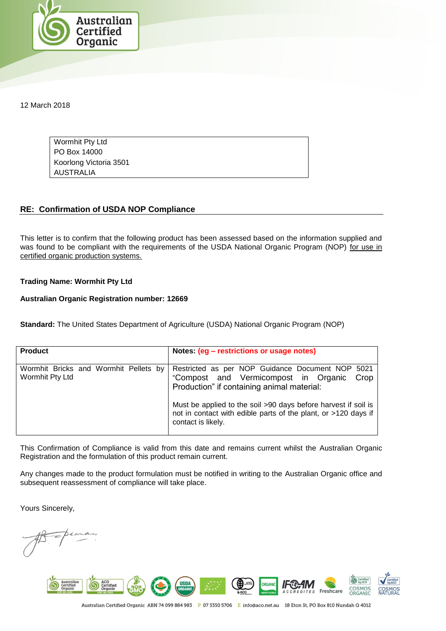

12 March 2018

Wormhit Pty Ltd PO Box 14000 Koorlong Victoria 3501 AUSTRALIA

## **RE: Confirmation of USDA NOP Compliance**

This letter is to confirm that the following product has been assessed based on the information supplied and was found to be compliant with the requirements of the USDA National Organic Program (NOP) for use in certified organic production systems.

## **Trading Name: Wormhit Pty Ltd**

## **Australian Organic Registration number: 12669**

**Standard:** The United States Department of Agriculture (USDA) National Organic Program (NOP)

| <b>Product</b>                                           | Notes: (eg – restrictions or usage notes)                                                                                                                                                                                                                                                                |
|----------------------------------------------------------|----------------------------------------------------------------------------------------------------------------------------------------------------------------------------------------------------------------------------------------------------------------------------------------------------------|
| Wormhit Bricks and Wormhit Pellets by<br>Wormhit Pty Ltd | Restricted as per NOP Guidance Document NOP 5021<br>"Compost and Vermicompost in Organic<br>Crop<br>Production" if containing animal material:<br>Must be applied to the soil >90 days before harvest if soil is<br>not in contact with edible parts of the plant, or >120 days if<br>contact is likely. |

This Confirmation of Compliance is valid from this date and remains current whilst the Australian Organic Registration and the formulation of this product remain current.

Any changes made to the product formulation must be notified in writing to the Australian Organic office and subsequent reassessment of compliance will take place.

Yours Sincerely,